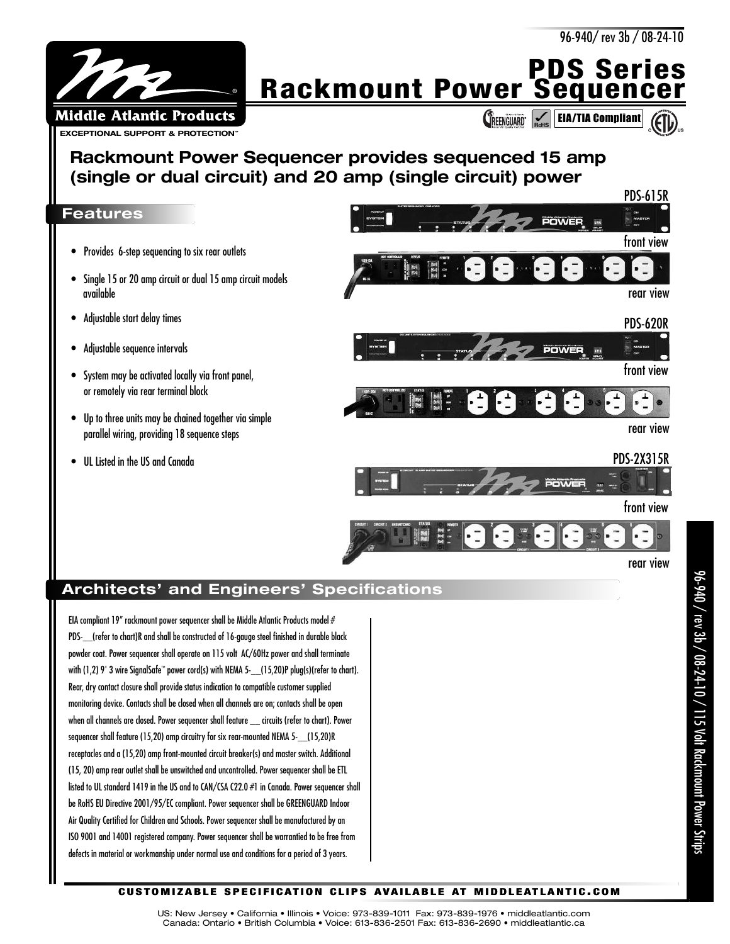

**PDS Series Rackmount Power Sequencer**

**CREENGUARD** EIA/TIA Compliant

## **Rackmount Power Sequencer provides sequenced 15 amp (single or dual circuit) and 20 amp (single circuit) power**

## **Features**

- Provides 6-step sequencing to six rear outlets
- Single 15 or 20 amp circuit or dual 15 amp circuit models available
- Adjustable start delay times
- Adjustable sequence intervals
- System may be activated locally via front panel, or remotely via rear terminal block
- Up to three units may be chained together via simple parallel wiring, providing 18 sequence steps
- UL Listed in the US and Canada



## **Architects' and Engineers' Specifications**

EIA compliant 19" rackmount power sequencer shall be Middle Atlantic Products model # PDS- (refer to chart)R and shall be constructed of 16-gauge steel finished in durable black powder coat. Power sequencer shall operate on 115 volt AC/60Hz power and shall terminate with (1,2) 9' 3 wire SignalSafe ™ power cord(s) with NEMA 5-\_\_(15,20)P plug(s)(refer to chart). Rear, dry contact closure shall provide status indication to compatible customer supplied monitoring device. Contacts shall be closed when all channels are on; contacts shall be open when all channels are closed. Power sequencer shall feature \_\_ circuits (refer to chart). Power sequencer shall feature (15,20) amp circuitry for six rear-mounted NEMA 5-\_\_(15,20)R receptacles and a (15,20) amp front-mounted circuit breaker(s) and master switch. Additional (15, 20) amp rear outlet shall be unswitched and uncontrolled. Power sequencer shall be ETL listed to UL standard 1419 in the US and to CAN/CSA C22.0 #1 in Canada. Power sequencer shall be RoHS EU Directive 2001/95/EC compliant. Power sequencer shall be GREENGUARD Indoor Air Quality Certified for Children and Schools. Power sequencer shall be manufactured by an ISO 9001 and 14001 registered company. Power sequencer shall be warrantied to be free from defects in material or workmanship under normal use and conditions for a period of 3 years.

rear view

Strips

## **CUSTOMIZABLE SPECIFICATION CLIPS AVAILABLE AT MIDDLEATLANTIC.COM**

US: New Jersey • California • Illinois • Voice: 973-839-1011 Fax: 973-839-1976 • middleatlantic.com Canada: Ontario • British Columbia • Voice: 613-836-2501 Fax: 613-836-2690 • middleatlantic.ca